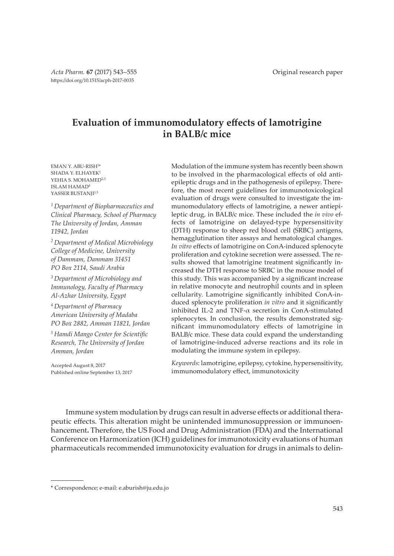# **Evaluation of immunomodulatory effects of lamotrigine in BALB/c mice**

EMAN Y. ABU-RISH<sup>1</sup> \* SHADA Y. ELHAYEK<sup>1</sup> YEHIA S. MOHAMED<sup>2,3</sup> ISLAM HAMAD<sup>4</sup> YASSER BUSTANJI<sup>1,5</sup>

*<sup>1</sup>Department of Biopharmaceutics and Clinical Pharmacy, School of Pharmacy The University of Jordan, Amman 11942, Jordan*

*<sup>2</sup>Department of Medical Microbiology College of Medicine, University of Dammam, Dammam 31451 PO Box 2114, Saudi Arabia*

*<sup>3</sup>Department of Microbiology and Immunology, Faculty of Pharmacy Al-Azhar University, Egypt*

*<sup>4</sup>Department of Pharmacy American University of Madaba PO Box 2882, Amman 11821, Jordan*

*<sup>5</sup>Hamdi Mango Center for Scientific Research, The University of Jordan Amman, Jordan*

Accepted August 8, 2017 Published online September 13, 2017

Modulation of the immune system has recently been shown to be involved in the pharmacological effects of old antiepileptic drugs and in the pathogenesis of epilepsy. Therefore, the most recent guidelines for immunotoxicological evaluation of drugs were consulted to investigate the immunomodulatory effects of lamotrigine, a newer antiepileptic drug, in BALB/c mice. These included the *in vivo* effects of lamotrigine on delayed-type hypersensitivity (DTH) response to sheep red blood cell (SRBC) antigens, hemagglutination titer assays and hematological changes. *In vitro* effects of lamotrigine on ConA-induced splenocyte proliferation and cytokine secretion were assessed. The results showed that lamotrigine treatment significantly increased the DTH response to SRBC in the mouse model of this study. This was accompanied by a significant increase in relative monocyte and neutrophil counts and in spleen cellularity. Lamotrigine significantly inhibited ConA-induced splenocyte proliferation *in vitro* and it significantly inhibited IL-2 and TNF-α secretion in ConA-stimulated splenocytes. In conclusion, the results demonstrated significant immunomodulatory effects of lamotrigine in BALB/c mice. These data could expand the understanding of lamotrigine-induced adverse reactions and its role in modulating the immune system in epilepsy.

*Keywords*: lamotrigine, epilepsy, cytokine, hypersensitivity, immunomodulatory effect, immunotoxicity

Immune system modulation by drugs can result in adverse effects or additional therapeutic effects. This alteration might be unintended immunosuppression or immunoenhancement**.** Therefore, the US Food and Drug Administration (FDA) and the International Conference on Harmonization (ICH) guidelines for immunotoxicity evaluations of human pharmaceuticals recommended immunotoxicity evaluation for drugs in animals to delin-

<sup>\*</sup> Correspondence; e-mail: e.aburish@ju.edu.jo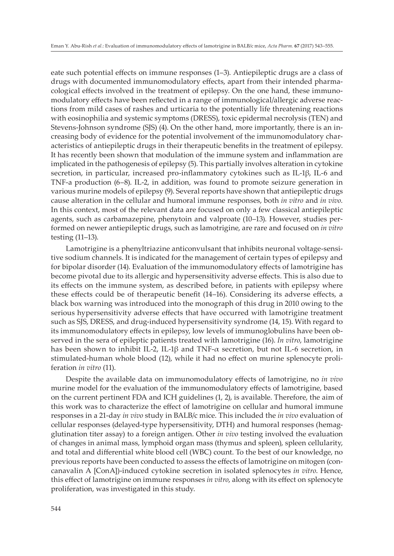eate such potential effects on immune responses (1–3). Antiepileptic drugs are a class of drugs with documented immunomodulatory effects, apart from their intended pharmacological effects involved in the treatment of epilepsy. On the one hand, these immunomodulatory effects have been reflected in a range of immunological/allergic adverse reactions from mild cases of rashes and urticaria to the potentially life threatening reactions with eosinophilia and systemic symptoms (DRESS), toxic epidermal necrolysis (TEN) and Stevens-Johnson syndrome (SJS) (4). On the other hand, more importantly, there is an increasing body of evidence for the potential involvement of the immunomodulatory characteristics of antiepileptic drugs in their therapeutic benefits in the treatment of epilepsy. It has recently been shown that modulation of the immune system and inflammation are implicated in the pathogenesis of epilepsy (5). This partially involves alteration in cytokine secretion, in particular, increased pro-inflammatory cytokines such as IL-1β, IL-6 and TNF-a production (6–8). IL-2, in addition, was found to promote seizure generation in various murine models of epilepsy (9). Several reports have shown that antiepileptic drugs cause alteration in the cellular and humoral immune responses, both *in vitro* and *in vivo.*  In this context, most of the relevant data are focused on only a few classical antiepileptic agents, such as carbamazepine, phenytoin and valproate (10–13). However, studies performed on newer antiepileptic drugs, such as lamotrigine, are rare and focused on *in vitro* testing (11–13).

Lamotrigine is a phenyltriazine anticonvulsant that inhibits neuronal voltage-sensitive sodium channels. It is indicated for the management of certain types of epilepsy and for bipolar disorder (14). Evaluation of the immunomodulatory effects of lamotrigine has become pivotal due to its allergic and hypersensitivity adverse effects. This is also due to its effects on the immune system, as described before, in patients with epilepsy where these effects could be of therapeutic benefit (14–16). Considering its adverse effects, a black box warning was introduced into the monograph of this drug in 2010 owing to the serious hypersensitivity adverse effects that have occurred with lamotrigine treatment such as SJS, DRESS, and drug-induced hypersensitivity syndrome (14, 15). With regard to its immunomodulatory effects in epilepsy, low levels of immunoglobulins have been observed in the sera of epileptic patients treated with lamotrigine (16). *In vitro*, lamotrigine has been shown to inhibit IL-2, IL-1β and TNF-α secretion, but not IL-6 secretion, in stimulated-human whole blood (12), while it had no effect on murine splenocyte proliferation *in vitro* (11).

Despite the available data on immunomodulatory effects of lamotrigine, no *in vivo* murine model for the evaluation of the immunomodulatory effects of lamotrigine, based on the current pertinent FDA and ICH guidelines (1, 2), is available. Therefore, the aim of this work was to characterize the effect of lamotrigine on cellular and humoral immune responses in a 21-day *in vivo* study in BALB/c mice. This included the *in vivo* evaluation of cellular responses (delayed-type hypersensitivity, DTH) and humoral responses (hemagglutination titer assay) to a foreign antigen. Other *in vivo* testing involved the evaluation of changes in animal mass, lymphoid organ mass (thymus and spleen), spleen cellularity, and total and differential white blood cell (WBC) count. To the best of our knowledge, no previous reports have been conducted to assess the effects of lamotrigine on mitogen (concanavalin A [ConA])-induced cytokine secretion in isolated splenocytes *in vitro*. Hence, this effect of lamotrigine on immune responses *in vitro*, along with its effect on splenocyte proliferation, was investigated in this study.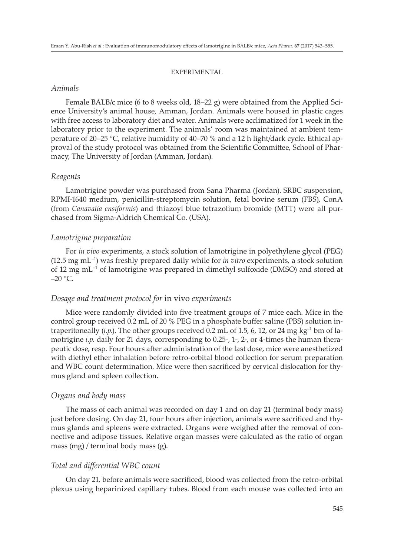#### EXPERIMENTAL

## *Animals*

Female BALB/c mice (6 to 8 weeks old, 18–22 g) were obtained from the Applied Science University's animal house, Amman, Jordan. Animals were housed in plastic cages with free access to laboratory diet and water. Animals were acclimatized for 1 week in the laboratory prior to the experiment. The animals' room was maintained at ambient temperature of 20–25 °C, relative humidity of 40–70 % and a 12 h light/dark cycle. Ethical approval of the study protocol was obtained from the Scientific Committee, School of Pharmacy, The University of Jordan (Amman, Jordan).

#### *Reagents*

Lamotrigine powder was purchased from Sana Pharma (Jordan). SRBC suspension, RPMI-1640 medium, penicillin-streptomycin solution, fetal bovine serum (FBS), ConA (from *Canavalia ensiformis*) and thiazoyl blue tetrazolium bromide (MTT) were all purchased from Sigma-Aldrich Chemical Co. (USA).

## *Lamotrigine preparation*

For *in vivo* experiments, a stock solution of lamotrigine in polyethylene glycol (PEG) (12.5 mg mL–1) was freshly prepared daily while for *in vitro* experiments, a stock solution of 12 mg  $mL^{-1}$  of lamotrigine was prepared in dimethyl sulfoxide (DMSO) and stored at  $-20$  °C.

## *Dosage and treatment protocol for* in vivo *experiments*

Mice were randomly divided into five treatment groups of 7 mice each. Mice in the control group received 0.2 mL of 20 % PEG in a phosphate buffer saline (PBS) solution intraperitoneally  $(i, p)$ . The other groups received 0.2 mL of 1.5, 6, 12, or 24 mg kg<sup>-1</sup> bm of lamotrigine *i.p.* daily for 21 days, corresponding to 0.25-, 1-, 2-, or 4-times the human therapeutic dose, resp. Four hours after administration of the last dose, mice were anesthetized with diethyl ether inhalation before retro-orbital blood collection for serum preparation and WBC count determination. Mice were then sacrificed by cervical dislocation for thymus gland and spleen collection.

#### *Organs and body mass*

The mass of each animal was recorded on day 1 and on day 21 (terminal body mass) just before dosing. On day 21, four hours after injection, animals were sacrificed and thymus glands and spleens were extracted. Organs were weighed after the removal of connective and adipose tissues. Relative organ masses were calculated as the ratio of organ mass (mg) / terminal body mass (g).

## *Total and differential WBC count*

On day 21, before animals were sacrificed, blood was collected from the retro-orbital plexus using heparinized capillary tubes. Blood from each mouse was collected into an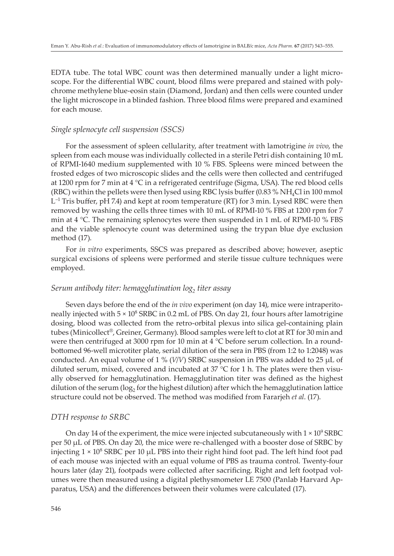EDTA tube. The total WBC count was then determined manually under a light microscope. For the differential WBC count, blood films were prepared and stained with polychrome methylene blue-eosin stain (Diamond, Jordan) and then cells were counted under the light microscope in a blinded fashion. Three blood films were prepared and examined for each mouse.

## *Single splenocyte cell suspension (SSCS)*

For the assessment of spleen cellularity, after treatment with lamotrigine *in vivo*, the spleen from each mouse was individually collected in a sterile Petri dish containing 10 mL of RPMI-1640 medium supplemented with 10 % FBS. Spleens were minced between the frosted edges of two microscopic slides and the cells were then collected and centrifuged at 1200 rpm for 7 min at 4 °C in a refrigerated centrifuge (Sigma, USA). The red blood cells (RBC) within the pellets were then lysed using RBC lysis buffer (0.83  $\%$  NH<sub>4</sub>Cl in 100 mmol  $\mathsf{L}^{\text{-1}}$  Tris buffer, pH 7.4) and kept at room temperature (RT) for 3 min. Lysed RBC were then removed by washing the cells three times with 10 mL of RPMI-10 % FBS at 1200 rpm for 7 min at 4 °C. The remaining splenocytes were then suspended in 1 mL of RPMI-10 % FBS and the viable splenocyte count was determined using the trypan blue dye exclusion method (17).

For *in vitro* experiments, SSCS was prepared as described above; however, aseptic surgical excisions of spleens were performed and sterile tissue culture techniques were employed.

# *Serum antibody titer: hemagglutination log<sup>2</sup> titer assay*

Seven days before the end of the *in vivo* experiment (on day 14), mice were intraperitoneally injected with  $5 \times 10^8$  SRBC in 0.2 mL of PBS. On day 21, four hours after lamotrigine dosing, blood was collected from the retro-orbital plexus into silica gel-containing plain tubes (Minicollect®, Greiner, Germany). Blood samples were left to clot at RT for 30 min and were then centrifuged at 3000 rpm for 10 min at  $4 \degree C$  before serum collection. In a roundbottomed 96-well microtiter plate, serial dilution of the sera in PBS (from 1:2 to 1:2048) was conducted. An equal volume of 1 % (*V*/*V*) SRBC suspension in PBS was added to 25 µL of diluted serum, mixed, covered and incubated at 37 °C for 1 h. The plates were then visually observed for hemagglutination. Hemagglutination titer was defined as the highest dilution of the serum ( $\log_2$  for the highest dilution) after which the hemagglutination lattice structure could not be observed. The method was modified from Fararjeh *et al*. (17).

#### *DTH response to SRBC*

On day 14 of the experiment, the mice were injected subcutaneously with  $1 \times 10^9$  SRBC per 50 µL of PBS. On day 20, the mice were re-challenged with a booster dose of SRBC by injecting  $1 \times 10^8$  SRBC per 10  $\mu$ L PBS into their right hind foot pad. The left hind foot pad of each mouse was injected with an equal volume of PBS as trauma control. Twenty-four hours later (day 21), footpads were collected after sacrificing. Right and left footpad volumes were then measured using a digital plethysmometer LE 7500 (Panlab Harvard Apparatus, USA) and the differences between their volumes were calculated (17).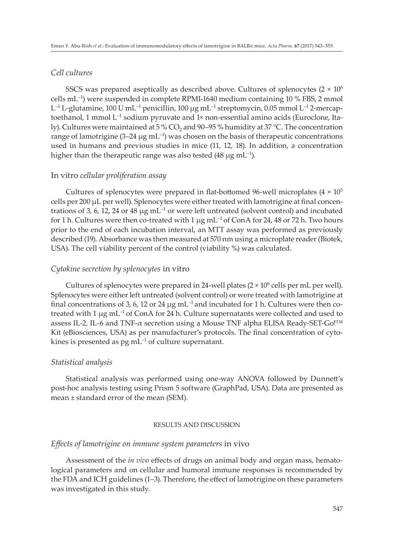# *Cell cultures*

SSCS was prepared aseptically as described above. Cultures of splenocytes  $(2 \times 10^6)$ cells  $m<sup>-1</sup>$ ) were suspended in complete RPMI-1640 medium containing 10 % FBS, 2 mmol L –1 L-glutamine, 100 U mL–1 penicillin, 100 µg mL–1 streptomycin, 0.05 mmol L–1 2-mercaptoethanol, 1 mmol  $L^{-1}$  sodium pyruvate and 1× non-essential amino acids (Euroclone, Italy). Cultures were maintained at 5 % CO<sub>2</sub> and 90–95 % humidity at 37 °C. The concentration range of lamotrigine  $(3-24 \mu g \text{ mL}^{-1})$  was chosen on the basis of therapeutic concentrations used in humans and previous studies in mice (11, 12, 18). In addition, a concentration higher than the therapeutic range was also tested  $(48 \mu g \text{ mL}^{-1})$ .

# In vitro *cellular proliferation assay*

Cultures of splenocytes were prepared in flat-bottomed 96-well microplates  $(4 \times 10^5)$ cells per 200 µL per well). Splenocytes were either treated with lamotrigine at final concentrations of 3, 6, 12, 24 or 48  $\mu$ g mL<sup>-1</sup> or were left untreated (solvent control) and incubated for 1 h. Cultures were then co-treated with 1  $\mu$ g mL<sup>-1</sup> of ConA for 24, 48 or 72 h. Two hours prior to the end of each incubation interval, an MTT assay was performed as previously described (19). Absorbance was then measured at 570 nm using a microplate reader (Biotek, USA). The cell viability percent of the control (viability %) was calculated.

# *Cytokine secretion by splenocytes* in vitro

Cultures of splenocytes were prepared in 24-well plates  $(2 \times 10^6 \text{ cells per mL per well})$ . Splenocytes were either left untreated (solvent control) or were treated with lamotrigine at final concentrations of 3, 6, 12 or 24  $\mu$ g mL<sup>-1</sup> and incubated for 1 h. Cultures were then cotreated with 1  $\mu$ g mL<sup>-1</sup> of ConA for 24 h. Culture supernatants were collected and used to assess IL-2, IL-6 and TNF-α secretion using a Mouse TNF alpha ELISA Ready-SET-Go!™ Kit (eBiosciences, USA) as per manufacturer's protocols. The final concentration of cytokines is presented as  $pg \, mL^{-1}$  of culture supernatant.

# *Statistical analysis*

Statistical analysis was performed using one-way ANOVA followed by Dunnett's post-hoc analysis testing using Prism 5 software (GraphPad, USA). Data are presented as mean ± standard error of the mean (SEM).

#### RESULTS AND DISCUSSION

## *Effects of lamotrigine on immune system parameters* in vivo

Assessment of the *in vivo* effects of drugs on animal body and organ mass, hematological parameters and on cellular and humoral immune responses is recommended by the FDA and ICH guidelines (1–3). Therefore, the effect of lamotrigine on these parameters was investigated in this study.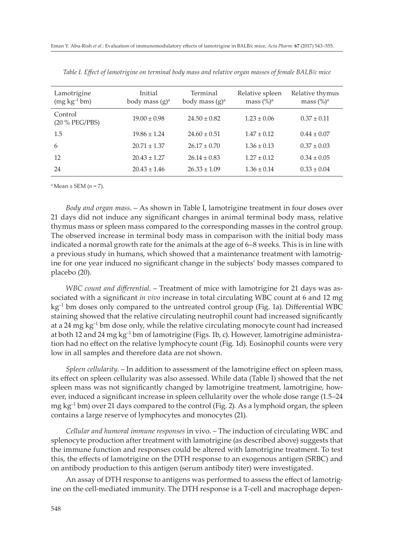| Lamotrigine<br>$(mg kg^{-1}bm)$ | Initial<br>body mass $(g)^a$ | Terminal<br>body mass $(g)^a$ | Relative spleen<br>mass $(\%)^a$ | Relative thymus<br>mass $(\%)^a$ |
|---------------------------------|------------------------------|-------------------------------|----------------------------------|----------------------------------|
| Control<br>(20 % PEG/PBS)       | $19.00 \pm 0.98$             | $24.50 \pm 0.82$              | $1.23 \pm 0.06$                  | $0.37 \pm 0.11$                  |
| 1.5                             | $19.86 \pm 1.24$             | $24.60 \pm 0.51$              | $1.47 \pm 0.12$                  | $0.44 \pm 0.07$                  |
| 6                               | $20.71 \pm 1.37$             | $26.17 \pm 0.70$              | $1.36 \pm 0.13$                  | $0.37 \pm 0.03$                  |
| 12                              | $20.43 \pm 1.27$             | $26.14 \pm 0.83$              | $1.27 \pm 0.12$                  | $0.34 \pm 0.05$                  |
| 24                              | $20.43 \pm 1.46$             | $26.33 \pm 1.09$              | $1.36 \pm 0.14$                  | $0.33 \pm 0.04$                  |

*Table I. Effect of lamotrigine on terminal body mass and relative organ masses of female BALB/c mice*

 $a$  Mean  $\pm$  SEM ( $n = 7$ ).

*Body and organ mass*. – As shown in Table I, lamotrigine treatment in four doses over 21 days did not induce any significant changes in animal terminal body mass, relative thymus mass or spleen mass compared to the corresponding masses in the control group. The observed increase in terminal body mass in comparison with the initial body mass indicated a normal growth rate for the animals at the age of 6–8 weeks. This is in line with a previous study in humans, which showed that a maintenance treatment with lamotrigine for one year induced no significant change in the subjects' body masses compared to placebo (20).

*WBC count and differential*. – Treatment of mice with lamotrigine for 21 days was associated with a significant *in vivo* increase in total circulating WBC count at 6 and 12 mg  $kg<sup>-1</sup>$  bm doses only compared to the untreated control group (Fig. 1a). Differential WBC staining showed that the relative circulating neutrophil count had increased significantly at a 24 mg  $kg<sup>-1</sup>$  bm dose only, while the relative circulating monocyte count had increased at both 12 and 24 mg  $kg^{-1}$  bm of lamotrigine (Figs. 1b, c). However, lamotrigine administration had no effect on the relative lymphocyte count (Fig. 1d). Eosinophil counts were very low in all samples and therefore data are not shown.

*Spleen cellularity*. – In addition to assessment of the lamotrigine effect on spleen mass, its effect on spleen cellularity was also assessed. While data (Table I) showed that the net spleen mass was not significantly changed by lamotrigine treatment, lamotrigine, however, induced a significant increase in spleen cellularity over the whole dose range (1.5–24 mg kg<sup>-1</sup> bm) over 21 days compared to the control (Fig. 2). As a lymphoid organ, the spleen contains a large reserve of lymphocytes and monocytes (21).

*Cellular and humoral immune responses* in vivo. – The induction of circulating WBC and splenocyte production after treatment with lamotrigine (as described above) suggests that the immune function and responses could be altered with lamotrigine treatment. To test this, the effects of lamotrigine on the DTH response to an exogenous antigen (SRBC) and on antibody production to this antigen (serum antibody titer) were investigated.

An assay of DTH response to antigens was performed to assess the effect of lamotrigine on the cell-mediated immunity. The DTH response is a T-cell and macrophage depen-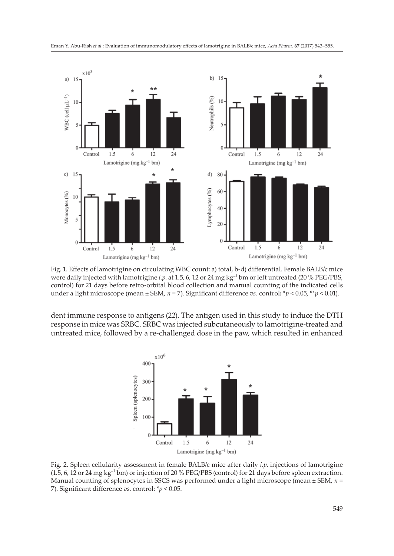

Fig. 1. Effects of lamotrigine on circulating WBC count: a) total, b-d) differential. Female BALB/c mice were daily injected with lamotrigine *i.p*. at 1.5, 6, 12 or 24 mg kg–1 bm or left untreated (20 % PEG/PBS, control) for 21 days before retro-orbital blood collection and manual counting of the indicated cells under a light microscope (mean ± SEM, *n* = 7). Significant difference *vs.* control**:** \**p* < 0.05, \*\**p* < 0.01).

dent immune response to antigens (22). The antigen used in this study to induce the DTH response in mice was SRBC. SRBC was injected subcutaneously to lamotrigine-treated and untreated mice, followed by a re-challenged dose in the paw, which resulted in enhanced



Fig. 2. Spleen cellularity assessment in female BALB/c mice after daily *i.p*. injections of lamotrigine (1.5, 6, 12 or 24 mg kg–1 bm) or injection of 20 % PEG/PBS (control) for 21 days before spleen extraction. Manual counting of splenocytes in SSCS was performed under a light microscope (mean ± SEM, *n* = 7). Significant difference *vs*. control: \**p* < 0.05.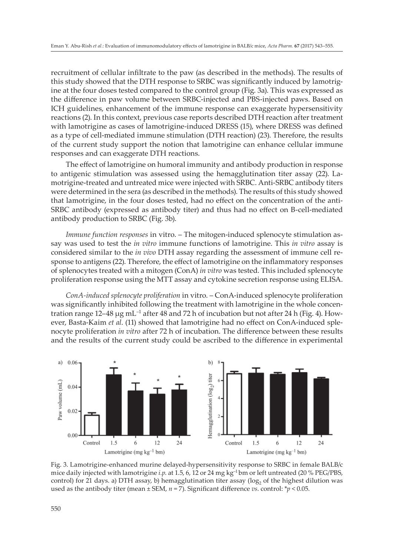recruitment of cellular infiltrate to the paw (as described in the methods). The results of this study showed that the DTH response to SRBC was significantly induced by lamotrigine at the four doses tested compared to the control group (Fig. 3a). This was expressed as the difference in paw volume between SRBC-injected and PBS-injected paws. Based on ICH guidelines, enhancement of the immune response can exaggerate hypersensitivity reactions (2). In this context, previous case reports described DTH reaction after treatment with lamotrigine as cases of lamotrigine-induced DRESS (15), where DRESS was defined as a type of cell-mediated immune stimulation (DTH reaction) (23). Therefore, the results of the current study support the notion that lamotrigine can enhance cellular immune responses and can exaggerate DTH reactions.

The effect of lamotrigine on humoral immunity and antibody production in response to antigenic stimulation was assessed using the hemagglutination titer assay (22). Lamotrigine-treated and untreated mice were injected with SRBC. Anti-SRBC antibody titers were determined in the sera (as described in the methods). The results of this study showed that lamotrigine, in the four doses tested, had no effect on the concentration of the anti-SRBC antibody (expressed as antibody titer) and thus had no effect on B-cell-mediated antibody production to SRBC (Fig. 3b).

*Immune function responses* in vitro. – The mitogen-induced splenocyte stimulation assay was used to test the *in vitro* immune functions of lamotrigine. This *in vitro* assay is considered similar to the *in vivo* DTH assay regarding the assessment of immune cell response to antigens (22). Therefore, the effect of lamotrigine on the inflammatory responses of splenocytes treated with a mitogen (ConA) *in vitro* was tested. This included splenocyte proliferation response using the MTT assay and cytokine secretion response using ELISA.

*ConA-induced splenocyte proliferation* in vitro. – ConA-induced splenocyte proliferation was significantly inhibited following the treatment with lamotrigine in the whole concentration range  $12-48 \mu g$  mL<sup>-1</sup> after 48 and 72 h of incubation but not after 24 h (Fig. 4). However, Basta-Kaim *et al*. (11) showed that lamotrigine had no effect on ConA-induced splenocyte proliferation *in vitro* after 72 h of incubation. The difference between these results and the results of the current study could be ascribed to the difference in experimental



Fig. 3. Lamotrigine-enhanced murine delayed-hypersensitivity response to SRBC in female BALB/c mice daily injected with lamotrigine *i.p*. at 1.5, 6, 12 or 24 mg kg–1 bm or left untreated (20 % PEG/PBS, control) for 21 days. a) DTH assay, b) hemagglutination titer assay ( $\log_2$  of the highest dilution was used as the antibody titer (mean ± SEM, *n* = 7). Significant difference *vs*. control: \**p* < 0.05.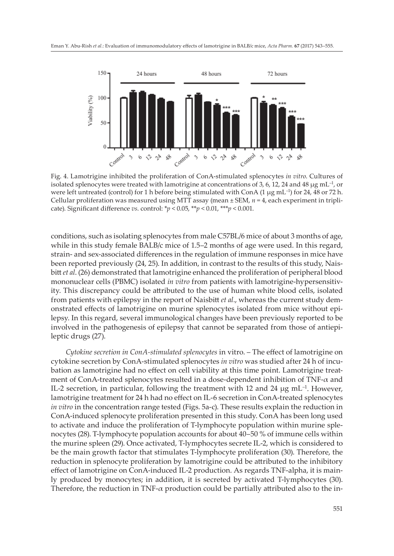

Fig. 4. Lamotrigine inhibited the proliferation of ConA-stimulated splenocytes *in vitro*. Cultures of isolated splenocytes were treated with lamotrigine at concentrations of 3, 6, 12, 24 and 48  $\mu$ g mL<sup>-1</sup>, or were left untreated (control) for 1 h before being stimulated with ConA (1  $\mu$ g mL<sup>-1</sup>) for 24, 48 or 72 h. Cellular proliferation was measured using MTT assay (mean ± SEM, *n* = 4, each experiment in triplicate). Significant difference *vs*. control: \**p* < 0.05, \*\**p* < 0.01, \*\*\**p* < 0.001.

conditions, such as isolating splenocytes from male C57BL/6 mice of about 3 months of age, while in this study female BALB/c mice of 1.5–2 months of age were used. In this regard, strain- and sex-associated differences in the regulation of immune responses in mice have been reported previously (24, 25). In addition, in contrast to the results of this study, Naisbitt *et al*. (26) demonstrated that lamotrigine enhanced the proliferation of peripheral blood mononuclear cells (PBMC) isolated *in vitro* from patients with lamotrigine-hypersensitivity. This discrepancy could be attributed to the use of human white blood cells, isolated from patients with epilepsy in the report of Naisbitt *et al.*, whereas the current study demonstrated effects of lamotrigine on murine splenocytes isolated from mice without epilepsy. In this regard, several immunological changes have been previously reported to be involved in the pathogenesis of epilepsy that cannot be separated from those of antiepileptic drugs (27).

*Cytokine secretion in ConA-stimulated splenocytes* in vitro. – The effect of lamotrigine on cytokine secretion by ConA-stimulated splenocytes *in vitro* was studied after 24 h of incubation as lamotrigine had no effect on cell viability at this time point. Lamotrigine treatment of ConA-treated splenocytes resulted in a dose-dependent inhibition of  $TNF-\alpha$  and IL-2 secretion, in particular, following the treatment with 12 and 24  $\mu$ g mL<sup>-1</sup>. However, lamotrigine treatment for 24 h had no effect on IL-6 secretion in ConA-treated splenocytes *in vitro* in the concentration range tested (Figs. 5a-c). These results explain the reduction in ConA-induced splenocyte proliferation presented in this study. ConA has been long used to activate and induce the proliferation of T-lymphocyte population within murine splenocytes (28). T-lymphocyte population accounts for about 40–50 % of immune cells within the murine spleen (29). Once activated, T-lymphocytes secrete IL-2, which is considered to be the main growth factor that stimulates T-lymphocyte proliferation (30). Therefore, the reduction in splenocyte proliferation by lamotrigine could be attributed to the inhibitory effect of lamotrigine on ConA-induced IL-2 production. As regards TNF-alpha, it is mainly produced by monocytes; in addition, it is secreted by activated T-lymphocytes (30). Therefore, the reduction in TNF- $\alpha$  production could be partially attributed also to the in-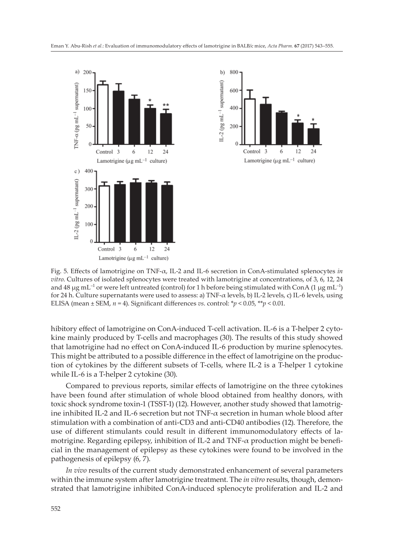



Fig. 5. Effects of lamotrigine on TNF-α, IL-2 and IL-6 secretion in ConA-stimulated splenocytes *in vitro*. Cultures of isolated splenocytes were treated with lamotrigine at concentrations, of 3, 6, 12, 24 and 48  $\mu$ g mL<sup>-1</sup> or were left untreated (control) for 1 h before being stimulated with ConA (1  $\mu$ g mL<sup>-1</sup>) for 24 h. Culture supernatants were used to assess: a) TNF-α levels, b) IL-2 levels, c) IL-6 levels, using ELISA (mean  $\pm$  SEM,  $n = 4$ ). Significant differences *vs*. control:  $\gamma p < 0.05$ ,  $\gamma \gamma p < 0.01$ .

hibitory effect of lamotrigine on ConA-induced T-cell activation. IL-6 is a T-helper 2 cytokine mainly produced by T-cells and macrophages (30). The results of this study showed that lamotrigine had no effect on ConA-induced IL-6 production by murine splenocytes. This might be attributed to a possible difference in the effect of lamotrigine on the production of cytokines by the different subsets of T-cells, where IL-2 is a T-helper 1 cytokine while IL-6 is a T-helper 2 cytokine (30).

Compared to previous reports, similar effects of lamotrigine on the three cytokines have been found after stimulation of whole blood obtained from healthy donors, with toxic shock syndrome toxin-1 (TSST-1) (12). However, another study showed that lamotrigine inhibited IL-2 and IL-6 secretion but not TNF-α secretion in human whole blood after stimulation with a combination of anti-CD3 and anti-CD40 antibodies (12). Therefore, the use of different stimulants could result in different immunomodulatory effects of lamotrigine. Regarding epilepsy, inhibition of IL-2 and  $TNF-\alpha$  production might be beneficial in the management of epilepsy as these cytokines were found to be involved in the pathogenesis of epilepsy (6, 7).

*In vivo* results of the current study demonstrated enhancement of several parameters within the immune system after lamotrigine treatment. The *in vitro* results, though, demonstrated that lamotrigine inhibited ConA-induced splenocyte proliferation and IL-2 and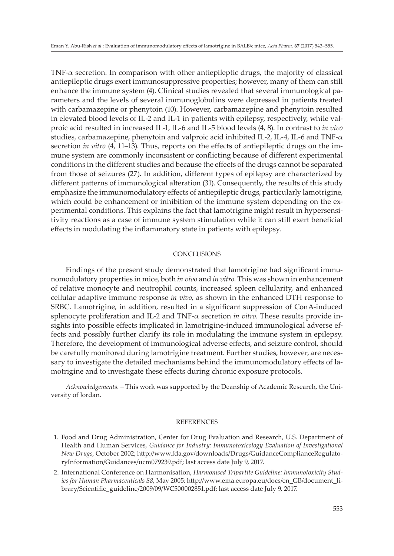TNF-α secretion. In comparison with other antiepileptic drugs, the majority of classical antiepileptic drugs exert immunosuppressive properties; however, many of them can still enhance the immune system (4). Clinical studies revealed that several immunological parameters and the levels of several immunoglobulins were depressed in patients treated with carbamazepine or phenytoin (10). However, carbamazepine and phenytoin resulted in elevated blood levels of IL-2 and IL-1 in patients with epilepsy, respectively, while valproic acid resulted in increased IL-1, IL-6 and IL-5 blood levels (4, 8). In contrast to *in vivo* studies, carbamazepine, phenytoin and valproic acid inhibited IL-2, IL-4, IL-6 and TNF-α secretion *in vitro* (4, 11–13). Thus, reports on the effects of antiepileptic drugs on the immune system are commonly inconsistent or conflicting because of different experimental conditions in the different studies and because the effects of the drugs cannot be separated from those of seizures (27). In addition, different types of epilepsy are characterized by different patterns of immunological alteration (31). Consequently, the results of this study emphasize the immunomodulatory effects of antiepileptic drugs, particularly lamotrigine, which could be enhancement or inhibition of the immune system depending on the experimental conditions. This explains the fact that lamotrigine might result in hypersensitivity reactions as a case of immune system stimulation while it can still exert beneficial effects in modulating the inflammatory state in patients with epilepsy.

#### **CONCLUSIONS**

Findings of the present study demonstrated that lamotrigine had significant immunomodulatory properties in mice, both *in vivo* and *in vitro*. This was shown in enhancement of relative monocyte and neutrophil counts, increased spleen cellularity, and enhanced cellular adaptive immune response *in vivo*, as shown in the enhanced DTH response to SRBC. Lamotrigine, in addition, resulted in a significant suppression of ConA-induced splenocyte proliferation and IL-2 and TNF-α secretion *in vitro.* These results provide insights into possible effects implicated in lamotrigine-induced immunological adverse effects and possibly further clarify its role in modulating the immune system in epilepsy. Therefore, the development of immunological adverse effects, and seizure control, should be carefully monitored during lamotrigine treatment. Further studies, however, are necessary to investigate the detailed mechanisms behind the immunomodulatory effects of lamotrigine and to investigate these effects during chronic exposure protocols.

*Acknowledgements. –* This work was supported by the Deanship of Academic Research, the University of Jordan.

#### **REFERENCES**

- 1. Food and Drug Administration, Center for Drug Evaluation and Research, U.S. Department of Health and Human Services, *Guidance for Industry: Immunotoxicology Evaluation of Investigational New Drugs*, October 2002; http://www.fda.gov/downloads/Drugs/GuidanceComplianceRegulatoryInformation/Guidances/ucm079239.pdf; last access date July 9, 2017.
- 2. International Conference on Harmonisation, *Harmonised Tripartite Guideline: Immunotoxicity Studies for Human Pharmaceuticals S8*, May 2005; http://www.ema.europa.eu/docs/en\_GB/document\_library/Scientific\_guideline/2009/09/WC500002851.pdf; last access date July 9, 2017.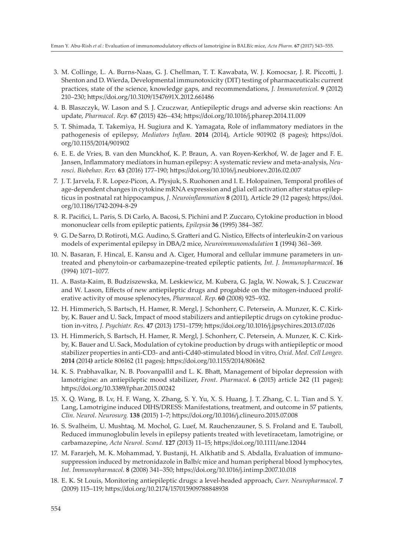- 3. M. Collinge, L. A. Burns-Naas, G. J. Chellman, T. T. Kawabata, W. J. Komocsar, J. R. Piccotti, J. Shenton and D. Wierda, Developmental immunotoxicity (DIT) testing of pharmaceuticals: current practices, state of the science, knowledge gaps, and recommendations, *J. Immunotoxicol*. **9** (2012) 210–230; https://doi.org/10.3109/1547691X.2012.661486
- 4. B. Blaszczyk, W. Lason and S. J. Czuczwar, Antiepileptic drugs and adverse skin reactions: An update, *Pharmacol. Rep.* **67** (2015) 426–434; https://doi.org/10.1016/j.pharep.2014.11.009
- 5. T. Shimada, T. Takemiya, H. Sugiura and K. Yamagata, Role of inflammatory mediators in the pathogenesis of epilepsy, *Mediators Inflam.* **2014** (2014), Article 901902 (8 pages); https://doi. org/10.1155/2014/901902
- 6. E. E. de Vries, B. van den Munckhof, K. P. Braun, A. van Royen-Kerkhof, W. de Jager and F. E. Jansen, Inflammatory mediators in human epilepsy: A systematic review and meta-analysis, *Neurosci. Biobehav. Rev.* **63** (2016) 177–190; https://doi.org/10.1016/j.neubiorev.2016.02.007
- 7. J. T. Jarvela, F. R. Lopez-Picon, A. Plysjuk, S. Ruohonen and I. E. Holopainen, Temporal profiles of age-dependent changes in cytokine mRNA expression and glial cell activation after status epilepticus in postnatal rat hippocampus, *J. Neuroinflammation* **8** (2011), Article 29 (12 pages); https://doi. org/10.1186/1742-2094-8-29
- 8. R. Pacifici, L. Paris, S. Di Carlo, A. Bacosi, S. Pichini and P. Zuccaro, Cytokine production in blood mononuclear cells from epileptic patients, *Epilepsia* **36** (1995) 384–387.
- 9. G. De Sarro, D. Rotiroti, M.G. Audino, S. Gratteri and G. Nistico, Effects of interleukin-2 on various models of experimental epilepsy in DBA/2 mice, *Neuroimmunomodulation* **1** (1994) 361–369.
- 10. N. Basaran, F. Hincal, E. Kansu and A. Ciger, Humoral and cellular immune parameters in untreated and phenytoin-or carbamazepine-treated epileptic patients, *Int. J. Immunopharmacol*. **16** (1994) 1071–1077.
- 11. A. Basta-Kaim, B. Budziszewska, M. Leskiewicz, M. Kubera, G. Jagla, W. Nowak, S. J. Czuczwar and W. Lason, Effects of new antiepileptic drugs and progabide on the mitogen-induced proliferative activity of mouse splenocytes, *Pharmacol. Rep*. **60** (2008) 925–932.
- 12. H. Himmerich, S. Bartsch, H. Hamer, R. Mergl, J. Schonherr, C. Petersein, A. Munzer, K. C. Kirkby, K. Bauer and U. Sack, Impact of mood stabilizers and antiepileptic drugs on cytokine production in-vitro, *J. Psychiatr. Res.* **47** (2013) 1751–1759; https://doi.org/10.1016/j.jpsychires.2013.07.026
- 13. H. Himmerich, S. Bartsch, H. Hamer, R. Mergl, J. Schonherr, C. Petersein, A. Munzer, K. C. Kirkby, K. Bauer and U. Sack, Modulation of cytokine production by drugs with antiepileptic or mood stabilizer properties in anti-CD3- and anti-Cd40-stimulated blood in vitro, *Oxid. Med. Cell Longev.* **2014** (2014**)** article 806162 (11 pages); https://doi.org/10.1155/2014/806162
- 14. K. S. Prabhavalkar, N. B. Poovanpallil and L. K. Bhatt, Management of bipolar depression with lamotrigine: an antiepileptic mood stabilizer, *Front. Pharmacol*. **6** (2015) article 242 (11 pages); https://doi.org/10.3389/fphar.2015.00242
- 15. X. Q. Wang, B. Lv, H. F. Wang, X. Zhang, S. Y. Yu, X. S. Huang, J. T. Zhang, C. L. Tian and S. Y. Lang, Lamotrigine induced DIHS/DRESS: Manifestations, treatment, and outcome in 57 patients, *Clin. Neurol. Neurosurg.* **138** (2015) 1–7; https://doi.org/10.1016/j.clineuro.2015.07.008
- 16. S. Svalheim, U. Mushtaq, M. Mochol, G. Luef, M. Rauchenzauner, S. S. Froland and E. Tauboll, Reduced immunoglobulin levels in epilepsy patients treated with levetiracetam, lamotrigine, or carbamazepine, *Acta Neurol. Scand.* **127** (2013) 11–15; https://doi.org/10.1111/ane.12044
- 17. M. Fararjeh, M. K. Mohammad, Y. Bustanji, H. Alkhatib and S. Abdalla, Evaluation of immunosuppression induced by metronidazole in Balb/c mice and human peripheral blood lymphocytes, *Int. Immunopharmacol*. **8** (2008) 341–350; https://doi.org/10.1016/j.intimp.2007.10.018
- 18. E. K. St Louis, Monitoring antiepileptic drugs: a level-headed approach, *Curr. Neuropharmacol.* **7** (2009) 115–119; https://doi.org/10.2174/157015909788848938